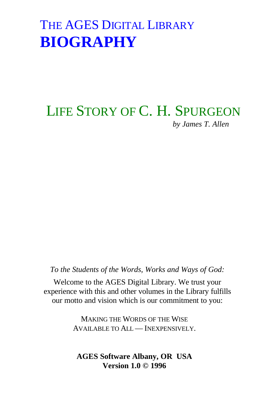### LIFE STORY OF C. H. SPURGEON *by James T. Allen*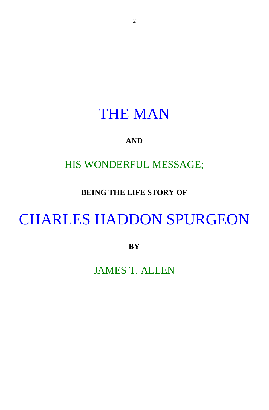### THE MAN

#### **AND**

### HIS WONDERFUL MESSAGE;

#### **BEING THE LIFE STORY OF**

# CHARLES HADDON SPURGEON

**BY**

JAMES T. ALLEN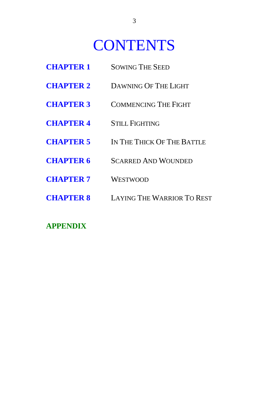# **CONTENTS**

- **CHAPTER 1** SOWING THE SEED
- **CHAPTER 2** DAWNING OF THE LIGHT
- **CHAPTER 3** COMMENCING THE FIGHT
- **CHAPTER 4** STILL FIGHTING
- **CHAPTER 5** IN THE THICK OF THE BATTLE
- **CHAPTER 6** SCARRED AND WOUNDED
- **CHAPTER 7** WESTWOOD
- **CHAPTER 8** LAYING THE WARRIOR TO REST

#### **APPENDIX**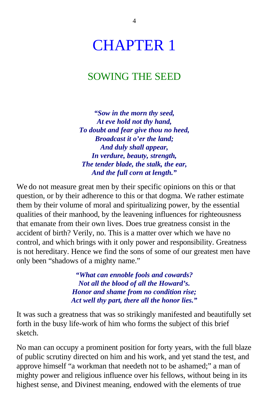## CHAPTER 1

### SOWING THE SEED

*"Sow in the morn thy seed, At eve hold not thy hand, To doubt and fear give thou no heed, Broadcast it o'er the land; And duly shall appear, In verdure, beauty, strength, The tender blade, the stalk, the ear, And the full corn at length."*

We do not measure great men by their specific opinions on this or that question, or by their adherence to this or that dogma. We rather estimate them by their volume of moral and spiritualizing power, by the essential qualities of their manhood, by the leavening influences for righteousness that emanate from their own lives. Does true greatness consist in the accident of birth? Verily, no. This is a matter over which we have no control, and which brings with it only power and responsibility. Greatness is not hereditary. Hence we find the sons of some of our greatest men have only been "shadows of a mighty name."

> *"What can ennoble fools and cowards? Not all the blood of all the Howard's. Honor and shame from no condition rise; Act well thy part, there all the honor lies."*

It was such a greatness that was so strikingly manifested and beautifully set forth in the busy life-work of him who forms the subject of this brief sketch.

No man can occupy a prominent position for forty years, with the full blaze of public scrutiny directed on him and his work, and yet stand the test, and approve himself "a workman that needeth not to be ashamed;" a man of mighty power and religious influence over his fellows, without being in its highest sense, and Divinest meaning, endowed with the elements of true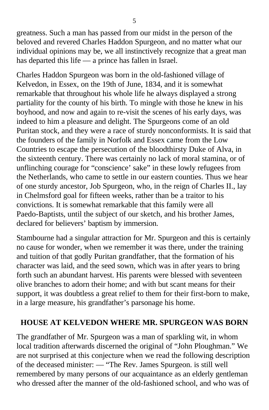greatness. Such a man has passed from our midst in the person of the beloved and revered Charles Haddon Spurgeon, and no matter what our individual opinions may be, we all instinctively recognize that a great man has departed this life — a prince has fallen in Israel.

Charles Haddon Spurgeon was born in the old-fashioned village of Kelvedon, in Essex, on the 19th of June, 1834, and it is somewhat remarkable that throughout his whole life he always displayed a strong partiality for the county of his birth. To mingle with those he knew in his boyhood, and now and again to re-visit the scenes of his early days, was indeed to him a pleasure and delight. The Spurgeons come of an old Puritan stock, and they were a race of sturdy nonconformists. It is said that the founders of the family in Norfolk and Essex came from the Low Countries to escape the persecution of the bloodthirsty Duke of Alva, in the sixteenth century. There was certainly no lack of moral stamina, or of unflinching courage for "conscience' sake" in these lowly refugees from the Netherlands, who came to settle in our eastern counties. Thus we hear of one sturdy ancestor, Job Spurgeon, who, in the reign of Charles II., lay in Chelmsford goal for fifteen weeks, rather than be a traitor to his convictions. It is somewhat remarkable that this family were all Paedo-Baptists, until the subject of our sketch, and his brother James, declared for believers' baptism by immersion.

Stambourne had a singular attraction for Mr. Spurgeon and this is certainly no cause for wonder, when we remember it was there, under the training and tuition of that godly Puritan grandfather, that the formation of his character was laid, and the seed sown, which was in after years to bring forth such an abundant harvest. His parents were blessed with seventeen olive branches to adorn their home; and with but scant means for their support, it was doubtless a great relief to them for their first-born to make, in a large measure, his grandfather's parsonage his home.

#### **HOUSE AT KELVEDON WHERE MR. SPURGEON WAS BORN**

The grandfather of Mr. Spurgeon was a man of sparkling wit, in whom local tradition afterwards discerned the original of "John Ploughman." We are not surprised at this conjecture when we read the following description of the deceased minister: — "The Rev. James Spurgeon. is still well remembered by many persons of our acquaintance as an elderly gentleman who dressed after the manner of the old-fashioned school, and who was of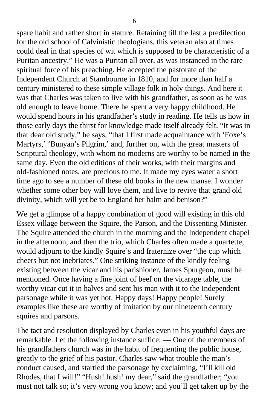spare habit and rather short in stature. Retaining till the last a predilection for the old school of Calvinistic theologians, this veteran also at times could deal in that species of wit which is supposed to be characteristic of a Puritan ancestry." He was a Puritan all over, as was instanced in the rare spiritual force of his preaching. He accepted the pastorate of the Independent Church at Stambourne in 1810, and for more than half a century ministered to these simple village folk in holy things. And here it was that Charles was taken to live with his grandfather, as soon as he was old enough to leave home. There he spent a very happy childhood. He would spend hours in his grandfather's study in reading. He tells us how in those early days the thirst for knowledge made itself already felt. "It was in that dear old study," he says, "that I first made acquaintance with 'Foxe's Martyrs,' 'Bunyan's Pilgrim,' and, further on, with the great masters of Scriptural theology, with whom no moderns are worthy to be named in the same day. Even the old editions of their works, with their margins and old-fashioned notes, are precious to me. It made my eyes water a short time ago to see a number of these old books in the new manse. I wonder whether some other boy will love them, and live to revive that grand old divinity, which will yet be to England her balm and benison?"

We get a glimpse of a happy combination of good will existing in this old Essex village between the Squire, the Parson, and the Dissenting Minister. The Squire attended the church in the morning and the Independent chapel in the afternoon, and then the trio, which Charles often made a quartette, would adjourn to the kindly Squire's and fraternize over "the cup which cheers but not inebriates." One striking instance of the kindly feeling existing between the vicar and his parishioner, James Spurgeon, must be mentioned. Once having a fine joint of beef on the vicarage table, the worthy vicar cut it in halves and sent his man with it to the Independent parsonage while it was yet hot. Happy days! Happy people! Surely examples like these are worthy of imitation by our nineteenth century squires and parsons.

The tact and resolution displayed by Charles even in his youthful days are remarkable. Let the following instance suffice: — One of the members of his grandfathers church was in the habit of frequenting the public house, greatly to the grief of his pastor. Charles saw what trouble the man's conduct caused, and startled the parsonage by exclaiming, "I'll kill old Rhodes, that I will!" "Hush! hush! my dear," said the grandfather; "you must not talk so; it's very wrong you know; and you'll get taken up by the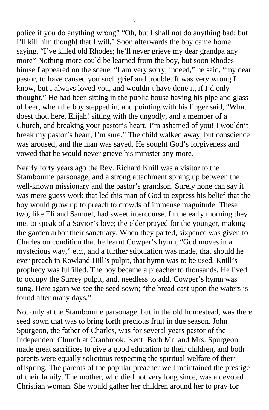police if you do anything wrong" "Oh, but I shall not do anything bad; but I'll kill him though! that I will." Soon afterwards the boy came home saying, "I've killed old Rhodes; he'll never grieve my dear grandpa any more" Nothing more could be learned from the boy, but soon Rhodes himself appeared on the scene. "I am very sorry, indeed," he said, "my dear pastor, to have caused you such grief and trouble. It was very wrong I know, but I always loved you, and wouldn't have done it, if I'd only thought." He had been sitting in the public house having his pipe and glass of beer, when the boy stepped in, and pointing with his finger said, "What doest thou here, Elijah! sitting with the ungodly, and a member of a Church, and breaking your pastor's heart. I'm ashamed of you! I wouldn't break my pastor's heart, I'm sure." The child walked away, but conscience was aroused, and the man was saved. He sought God's forgiveness and vowed that he would never grieve his minister any more.

Nearly forty years ago the Rev. Richard Knill was a visitor to the Stambourne parsonage, and a strong attachment sprang up between the well-known missionary and the pastor's grandson. Surely none can say it was mere guess work that led this man of God to express his belief that the boy would grow up to preach to crowds of immense magnitude. These two, like Eli and Samuel, had sweet intercourse. In the early morning they met to speak of a Savior's love; the elder prayed for the younger, making the garden arbor their sanctuary. When they parted, sixpence was given to Charles on condition that he learnt Cowper's hymn, "God moves in a mysterious way," etc., and a further stipulation was made, that should he ever preach in Rowland Hill's pulpit, that hymn was to be used. Knill's prophecy was fulfilled. The boy became a preacher to thousands. He lived to occupy the Surrey pulpit, and, needless to add, Cowper's hymn was sung. Here again we see the seed sown; "the bread cast upon the waters is found after many days."

Not only at the Stambourne parsonage, but in the old homestead, was there seed sown that was to bring forth precious fruit in due season. John Spurgeon, the father of Charles, was for several years pastor of the Independent Church at Cranbrook, Kent. Both Mr. and Mrs. Spurgeon made great sacrifices to give a good education to their children, and both parents were equally solicitous respecting the spiritual welfare of their offspring. The parents of the popular preacher well maintained the prestige of their family. The mother, who died not very long since, was a devoted Christian woman. She would gather her children around her to pray for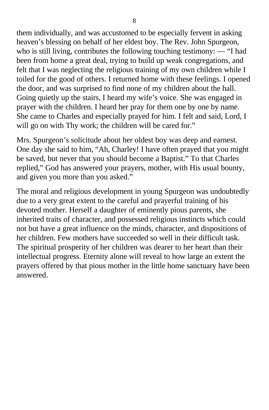them individually, and was accustomed to be especially fervent in asking heaven's blessing on behalf of her eldest boy. The Rev. John Spurgeon, who is still living, contributes the following touching testimony: — "I had been from home a great deal, trying to build up weak congregations, and felt that I was neglecting the religious training of my own children while I toiled for the good of others. I returned home with these feelings. I opened the door, and was surprised to find none of my children about the hall. Going quietly up the stairs, I heard my wife's voice. She was engaged in prayer with the children. I heard her pray for them one by one by name. She came to Charles and especially prayed for him. I felt and said, Lord, I will go on with Thy work; the children will be cared for."

Mrs. Spurgeon's solicitude about her oldest boy was deep and earnest. One day she said to him, "Ah, Charley! I have often prayed that you might be saved, but never that you should become a Baptist." To that Charles replied," God has answered your prayers, mother, with His usual bounty, and given you more than you asked."

The moral and religious development in young Spurgeon was undoubtedly due to a very great extent to the careful and prayerful training of his devoted mother. Herself a daughter of eminently pious parents, she inherited traits of character, and possessed religious instincts which could not but have a great influence on the minds, character, and dispositions of her children. Few mothers have succeeded so well in their difficult task. The spiritual prosperity of her children was dearer to her heart than their intellectual progress. Eternity alone will reveal to how large an extent the prayers offered by that pious mother in the little home sanctuary have been answered.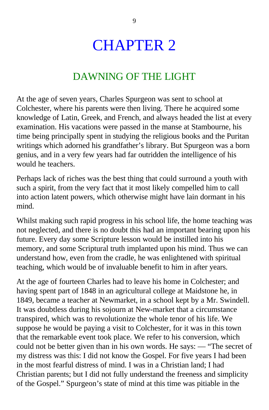# CHAPTER 2

### DAWNING OF THE LIGHT

At the age of seven years, Charles Spurgeon was sent to school at Colchester, where his parents were then living. There he acquired some knowledge of Latin, Greek, and French, and always headed the list at every examination. His vacations were passed in the manse at Stambourne, his time being principally spent in studying the religious books and the Puritan writings which adorned his grandfather's library. But Spurgeon was a born genius, and in a very few years had far outridden the intelligence of his would he teachers.

Perhaps lack of riches was the best thing that could surround a youth with such a spirit, from the very fact that it most likely compelled him to call into action latent powers, which otherwise might have lain dormant in his mind.

Whilst making such rapid progress in his school life, the home teaching was not neglected, and there is no doubt this had an important bearing upon his future. Every day some Scripture lesson would be instilled into his memory, and some Scriptural truth implanted upon his mind. Thus we can understand how, even from the cradle, he was enlightened with spiritual teaching, which would be of invaluable benefit to him in after years.

At the age of fourteen Charles had to leave his home in Colchester; and having spent part of 1848 in an agricultural college at Maidstone he, in 1849, became a teacher at Newmarket, in a school kept by a Mr. Swindell. It was doubtless during his sojourn at New-market that a circumstance transpired, which was to revolutionize the whole tenor of his life. We suppose he would be paying a visit to Colchester, for it was in this town that the remarkable event took place. We refer to his conversion, which could not be better given than in his own words. He says: — "The secret of my distress was this: I did not know the Gospel. For five years I had been in the most fearful distress of mind. I was in a Christian land; I had Christian parents; but I did not fully understand the freeness and simplicity of the Gospel." Spurgeon's state of mind at this time was pitiable in the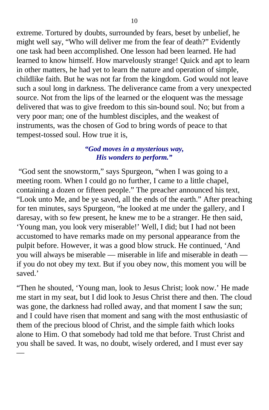extreme. Tortured by doubts, surrounded by fears, beset by unbelief, he might well say, "Who will deliver me from the fear of death?" Evidently one task had been accomplished. One lesson had been learned. He had learned to know himself. How marvelously strange! Quick and apt to learn in other matters, he had yet to learn the nature and operation of simple, childlike faith. But he was not far from the kingdom. God would not leave such a soul long in darkness. The deliverance came from a very unexpected source. Not from the lips of the learned or the eloquent was the message delivered that was to give freedom to this sin-bound soul. No; but from a very poor man; one of the humblest disciples, and the weakest of instruments, was the chosen of God to bring words of peace to that tempest-tossed soul. How true it is,

#### *"God moves in a mysterious way, His wonders to perform."*

 "God sent the snowstorm," says Spurgeon, "when I was going to a meeting room. When I could go no further, I came to a little chapel, containing a dozen or fifteen people." The preacher announced his text, "Look unto Me, and be ye saved, all the ends of the earth." After preaching for ten minutes, says Spurgeon, "he looked at me under the gallery, and I daresay, with so few present, he knew me to be a stranger. He then said, 'Young man, you look very miserable!' Well, I did; but I had not been accustomed to have remarks made on my personal appearance from the pulpit before. However, it was a good blow struck. He continued, 'And you will always be miserable — miserable in life and miserable in death if you do not obey my text. But if you obey now, this moment you will be saved.'

"Then he shouted, 'Young man, look to Jesus Christ; look now.' He made me start in my seat, but I did look to Jesus Christ there and then. The cloud was gone, the darkness had rolled away, and that moment I saw the sun; and I could have risen that moment and sang with the most enthusiastic of them of the precious blood of Christ, and the simple faith which looks alone to Him. O that somebody had told me that before. Trust Christ and you shall be saved. It was, no doubt, wisely ordered, and I must ever say

—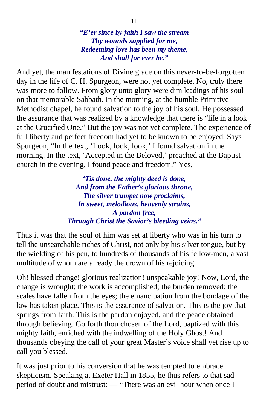*"E'er since by faith I saw the stream Thy wounds supplied for me, Redeeming love has been my theme, And shall for ever be."*

And yet, the manifestations of Divine grace on this never-to-be-forgotten day in the life of C. H. Spurgeon, were not yet complete. No, truly there was more to follow. From glory unto glory were dim leadings of his soul on that memorable Sabbath. In the morning, at the humble Primitive Methodist chapel, he found salvation to the joy of his soul. He possessed the assurance that was realized by a knowledge that there is "life in a look at the Crucified One." But the joy was not yet complete. The experience of full liberty and perfect freedom had yet to be known to be enjoyed. Says Spurgeon, "In the text, 'Look, look, look,' I found salvation in the morning. In the text, 'Accepted in the Beloved,' preached at the Baptist church in the evening, I found peace and freedom." Yes,

> *'Tis done. the mighty deed is done, And from the Father's glorious throne, The silver trumpet now proclaims, In sweet, melodious. heavenly strains, A pardon free, Through Christ the Savior's bleeding veins."*

Thus it was that the soul of him was set at liberty who was in his turn to tell the unsearchable riches of Christ, not only by his silver tongue, but by the wielding of his pen, to hundreds of thousands of his fellow-men, a vast multitude of whom are already the crown of his rejoicing.

Oh! blessed change! glorious realization! unspeakable joy! Now, Lord, the change is wrought; the work is accomplished; the burden removed; the scales have fallen from the eyes; the emancipation from the bondage of the law has taken place. This is the assurance of salvation. This is the joy that springs from faith. This is the pardon enjoyed, and the peace obtained through believing. Go forth thou chosen of the Lord, baptized with this mighty faith, enriched with the indwelling of the Holy Ghost! And thousands obeying the call of your great Master's voice shall yet rise up to call you blessed.

It was just prior to his conversion that he was tempted to embrace skepticism. Speaking at Exeter Hall in 1855, he thus refers to that sad period of doubt and mistrust: — "There was an evil hour when once I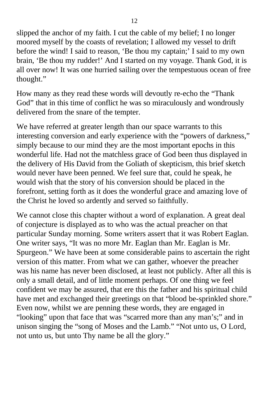slipped the anchor of my faith. I cut the cable of my belief; I no longer moored myself by the coasts of revelation; I allowed my vessel to drift before the wind! I said to reason, 'Be thou my captain;' I said to my own brain, 'Be thou my rudder!' And I started on my voyage. Thank God, it is all over now! It was one hurried sailing over the tempestuous ocean of free thought."

How many as they read these words will devoutly re-echo the "Thank God" that in this time of conflict he was so miraculously and wondrously delivered from the snare of the tempter.

We have referred at greater length than our space warrants to this interesting conversion and early experience with the "powers of darkness," simply because to our mind they are the most important epochs in this wonderful life. Had not the matchless grace of God been thus displayed in the delivery of His David from the Goliath of skepticism, this brief sketch would never have been penned. We feel sure that, could he speak, he would wish that the story of his conversion should be placed in the forefront, setting forth as it does the wonderful grace and amazing love of the Christ he loved so ardently and served so faithfully.

We cannot close this chapter without a word of explanation. A great deal of conjecture is displayed as to who was the actual preacher on that particular Sunday morning. Some writers assert that it was Robert Eaglan. One writer says, "It was no more Mr. Eaglan than Mr. Eaglan is Mr. Spurgeon." We have been at some considerable pains to ascertain the right version of this matter. From what we can gather, whoever the preacher was his name has never been disclosed, at least not publicly. After all this is only a small detail, and of little moment perhaps. Of one thing we feel confident we may be assured, that ere this the father and his spiritual child have met and exchanged their greetings on that "blood be-sprinkled shore." Even now, whilst we are penning these words, they are engaged in "looking" upon that face that was "scarred more than any man's;" and in unison singing the "song of Moses and the Lamb." "Not unto us, O Lord, not unto us, but unto Thy name be all the glory."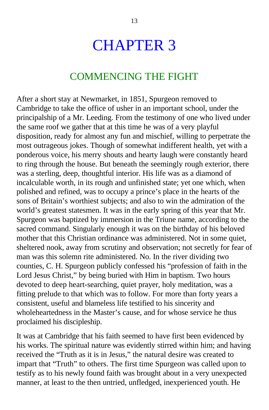## CHAPTER 3

#### COMMENCING THE FIGHT

After a short stay at Newmarket, in 1851, Spurgeon removed to Cambridge to take the office of usher in an important school, under the principalship of a Mr. Leeding. From the testimony of one who lived under the same roof we gather that at this time he was of a very playful disposition, ready for almost any fun and mischief, willing to perpetrate the most outrageous jokes. Though of somewhat indifferent health, yet with a ponderous voice, his merry shouts and hearty laugh were constantly heard to ring through the house. But beneath the seemingly rough exterior, there was a sterling, deep, thoughtful interior. His life was as a diamond of incalculable worth, in its rough and unfinished state; yet one which, when polished and refined, was to occupy a prince's place in the hearts of the sons of Britain's worthiest subjects; and also to win the admiration of the world's greatest statesmen. It was in the early spring of this year that Mr. Spurgeon was baptized by immersion in the Triune name, according to the sacred command. Singularly enough it was on the birthday of his beloved mother that this Christian ordinance was administered. Not in some quiet, sheltered nook, away from scrutiny and observation; not secretly for fear of man was this solemn rite administered. No. In the river dividing two counties, C. H. Spurgeon publicly confessed his "profession of faith in the Lord Jesus Christ," by being buried with Him in baptism. Two hours devoted to deep heart-searching, quiet prayer, holy meditation, was a fitting prelude to that which was to follow. For more than forty years a consistent, useful and blameless life testified to his sincerity and wholeheartedness in the Master's cause, and for whose service he thus proclaimed his discipleship.

It was at Cambridge that his faith seemed to have first been evidenced by his works. The spiritual nature was evidently stirred within him; and having received the "Truth as it is in Jesus," the natural desire was created to impart that "Truth" to others. The first time Spurgeon was called upon to testify as to his newly found faith was brought about in a very unexpected manner, at least to the then untried, unfledged, inexperienced youth. He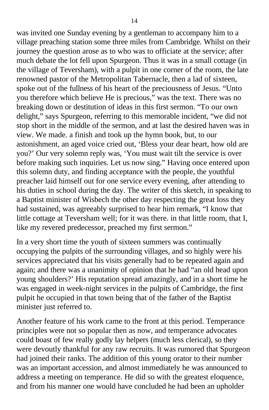was invited one Sunday evening by a gentleman to accompany him to a village preaching station some three miles from Cambridge. Whilst on their journey the question arose as to who was to officiate at the service; after much debate the lot fell upon Spurgeon. Thus it was in a small cottage (in the village of Teversham), with a pulpit in one corner of the room, the late renowned pastor of the Metropolitan Tabernacle, then a lad of sixteen, spoke out of the fullness of his heart of the preciousness of Jesus. "Unto you therefore which believe He is precious," was the text. There was no breaking down or destitution of ideas in this first sermon. "To our own delight," says Spurgeon, referring to this memorable incident, "we did not stop short in the middle of the sermon, and at last the desired haven was in view. We made. a finish and took up the hymn book, but, to our astonishment, an aged voice cried out, 'Bless your dear heart, how old are you?' Our very solemn reply was, 'You must wait tilt the service is over before making such inquiries. Let us now sing." Having once entered upon this solemn duty, and finding acceptance with the people, the youthful preacher laid himself out for one service every evening, after attending to his duties in school during the day. The writer of this sketch, in speaking to a Baptist minister of Wisbech the other day respecting the great loss they had sustained, was agreeably surprised to hear him remark, "I know that little cottage at Teversham well; for it was there. in that little room, that I, like my revered predecessor, preached my first sermon."

In a very short time the youth of sixteen summers was continually occupying the pulpits of the surrounding villages, and so highly were his services appreciated that his visits generally had to be repeated again and again; and there was a unanimity of opinion that he had "an old head upon young shoulders?' His reputation spread amazingly, and in a short time he was engaged in week-night services in the pulpits of Cambridge, the first pulpit he occupied in that town being that of the father of the Baptist minister just referred to.

Another feature of his work came to the front at this period. Temperance principles were not so popular then as now, and temperance advocates could boast of few really godly lay helpers (much less clerical), so they were devoutly thankful for any raw recruits. It was rumored that Spurgeon had joined their ranks. The addition of this young orator to their number was an important accession, and almost immediately he was announced to address a meeting on temperance. He did so with the greatest eloquence, and from his manner one would have concluded he had been an upholder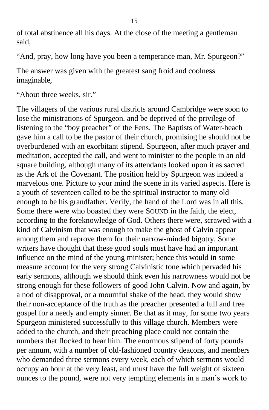of total abstinence all his days. At the close of the meeting a gentleman said,

"And, pray, how long have you been a temperance man, Mr. Spurgeon?"

The answer was given with the greatest sang froid and coolness imaginable,

"About three weeks, sir."

The villagers of the various rural districts around Cambridge were soon to lose the ministrations of Spurgeon. and be deprived of the privilege of listening to the "boy preacher" of the Fens. The Baptists of Water-beach gave him a call to be the pastor of their church, promising he should not be overburdened with an exorbitant stipend. Spurgeon, after much prayer and meditation, accepted the call, and went to minister to the people in an old square building, although many of its attendants looked upon it as sacred as the Ark of the Covenant. The position held by Spurgeon was indeed a marvelous one. Picture to your mind the scene in its varied aspects. Here is a youth of seventeen called to be the spiritual instructor to many old enough to be his grandfather. Verily, the hand of the Lord was in all this. Some there were who boasted they were SOUND in the faith, the elect, according to the foreknowledge of God. Others there were, scrawed with a kind of Calvinism that was enough to make the ghost of Calvin appear among them and reprove them for their narrow-minded bigotry. Some writers have thought that these good souls must have had an important influence on the mind of the young minister; hence this would in some measure account for the very strong Calvinistic tone which pervaded his early sermons, although we should think even his narrowness would not be strong enough for these followers of good John Calvin. Now and again, by a nod of disapproval, or a mournful shake of the head, they would show their non-acceptance of the truth as the preacher presented a full and free gospel for a needy and empty sinner. Be that as it may, for some two years Spurgeon ministered successfully to this village church. Members were added to the church, and their preaching place could not contain the numbers that flocked to hear him. The enormous stipend of forty pounds per annum, with a number of old-fashioned country deacons, and members who demanded three sermons every week, each of which sermons would occupy an hour at the very least, and must have the full weight of sixteen ounces to the pound, were not very tempting elements in a man's work to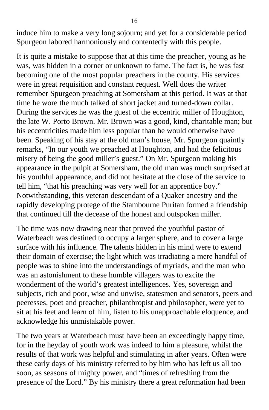induce him to make a very long sojourn; and yet for a considerable period Spurgeon labored harmoniously and contentedly with this people.

It is quite a mistake to suppose that at this time the preacher, young as he was, was hidden in a corner or unknown to fame. The fact is, he was fast becoming one of the most popular preachers in the county. His services were in great requisition and constant request. Well does the writer remember Spurgeon preaching at Somersham at this period. It was at that time he wore the much talked of short jacket and turned-down collar. During the services he was the guest of the eccentric miller of Houghton, the late W. Porto Brown. Mr. Brown was a good, kind, charitable man; but his eccentricities made him less popular than he would otherwise have been. Speaking of his stay at the old man's house, Mr. Spurgeon quaintly remarks, "In our youth we preached at Houghton, and had the felicitous misery of being the good miller's guest." On Mr. Spurgeon making his appearance in the pulpit at Somersham, the old man was much surprised at his youthful appearance, and did not hesitate at the close of the service to tell him, "that his preaching was very well for an apprentice boy." Notwithstanding, this veteran descendant of a Quaker ancestry and the rapidly developing protege of the Stambourne Puritan formed a friendship that continued till the decease of the honest and outspoken miller.

The time was now drawing near that proved the youthful pastor of Waterbeach was destined to occupy a larger sphere, and to cover a large surface with his influence. The talents hidden in his mind were to extend their domain of exercise; the light which was irradiating a mere handful of people was to shine into the understandings of myriads, and the man who was an astonishment to these humble villagers was to excite the wonderment of the world's greatest intelligences. Yes, sovereign and subjects, rich and poor, wise and unwise, statesmen and senators, peers and peeresses, poet and preacher, philanthropist and philosopher, were yet to sit at his feet and learn of him, listen to his unapproachable eloquence, and acknowledge his unmistakable power.

The two years at Waterbeach must have been an exceedingly happy time, for in the heyday of youth work was indeed to him a pleasure, whilst the results of that work was helpful and stimulating in after years. Often were these early days of his ministry referred to by him who has left us all too soon, as seasons of mighty power, and "times of refreshing from the presence of the Lord." By his ministry there a great reformation had been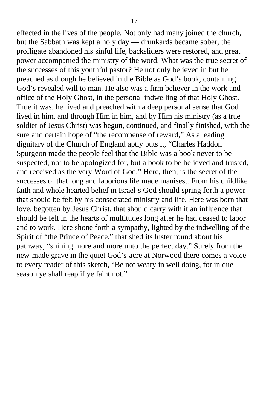effected in the lives of the people. Not only had many joined the church, but the Sabbath was kept a holy day — drunkards became sober, the profligate abandoned his sinful life, backsliders were restored, and great power accompanied the ministry of the word. What was the true secret of the successes of this youthful pastor? He not only believed in but he preached as though he believed in the Bible as God's book, containing God's revealed will to man. He also was a firm believer in the work and office of the Holy Ghost, in the personal indwelling of that Holy Ghost. True it was, he lived and preached with a deep personal sense that God lived in him, and through Him in him, and by Him his ministry (as a true soldier of Jesus Christ) was begun, continued, and finally finished, with the sure and certain hope of "the recompense of reward," As a leading dignitary of the Church of England aptly puts it, "Charles Haddon Spurgeon made the people feel that the Bible was a book never to be suspected, not to be apologized for, but a book to be believed and trusted, and received as the very Word of God." Here, then, is the secret of the successes of that long and laborious life made manisest. From his childlike faith and whole hearted belief in Israel's God should spring forth a power that should be felt by his consecrated ministry and life. Here was born that love, begotten by Jesus Christ, that should carry with it an influence that should be felt in the hearts of multitudes long after he had ceased to labor and to work. Here shone forth a sympathy, lighted by the indwelling of the Spirit of "the Prince of Peace," that shed its luster round about his pathway, "shining more and more unto the perfect day." Surely from the new-made grave in the quiet God's-acre at Norwood there comes a voice to every reader of this sketch, "Be not weary in well doing, for in due season ye shall reap if ye faint not."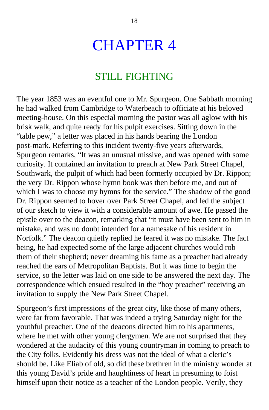## CHAPTER 4

#### STILL FIGHTING

The year 1853 was an eventful one to Mr. Spurgeon. One Sabbath morning he had walked from Cambridge to Waterbeach to officiate at his beloved meeting-house. On this especial morning the pastor was all aglow with his brisk walk, and quite ready for his pulpit exercises. Sitting down in the "table pew," a letter was placed in his hands bearing the London post-mark. Referring to this incident twenty-five years afterwards, Spurgeon remarks, "It was an unusual missive, and was opened with some curiosity. It contained an invitation to preach at New Park Street Chapel, Southwark, the pulpit of which had been formerly occupied by Dr. Rippon; the very Dr. Rippon whose hymn book was then before me, and out of which I was to choose my hymns for the service." The shadow of the good Dr. Rippon seemed to hover over Park Street Chapel, and led the subject of our sketch to view it with a considerable amount of awe. He passed the epistle over to the deacon, remarking that "it must have been sent to him in mistake, and was no doubt intended for a namesake of his resident in Norfolk." The deacon quietly replied he feared it was no mistake. The fact being, he had expected some of the large adjacent churches would rob them of their shepherd; never dreaming his fame as a preacher had already reached the ears of Metropolitan Baptists. But it was time to begin the service, so the letter was laid on one side to be answered the next day. The correspondence which ensued resulted in the "boy preacher" receiving an invitation to supply the New Park Street Chapel.

Spurgeon's first impressions of the great city, like those of many others, were far from favorable. That was indeed a trying Saturday night for the youthful preacher. One of the deacons directed him to his apartments, where he met with other young clergymen. We are not surprised that they wondered at the audacity of this young countryman in coming to preach to the City folks. Evidently his dress was not the ideal of what a cleric's should be. Like Eliab of old, so did these brethren in the ministry wonder at this young David's pride and haughtiness of heart in presuming to foist himself upon their notice as a teacher of the London people. Verily, they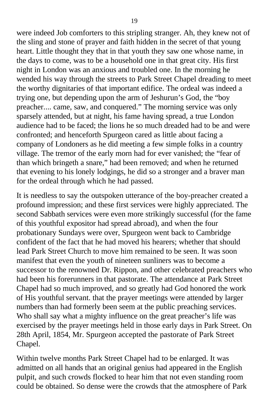were indeed Job comforters to this stripling stranger. Ah, they knew not of the sling and stone of prayer and faith hidden in the secret of that young heart. Little thought they that in that youth they saw one whose name, in the days to come, was to be a household one in that great city. His first night in London was an anxious and troubled one. In the morning he wended his way through the streets to Park Street Chapel dreading to meet the worthy dignitaries of that important edifice. The ordeal was indeed a trying one, but depending upon the arm of Jeshurun's God, the "boy preacher.... came, saw, and conquered." The morning service was only sparsely attended, but at night, his fame having spread, a true London audience had to be faced; the lions he so much dreaded had to be and were confronted; and henceforth Spurgeon cared as little about facing a company of Londoners as he did meeting a few simple folks in a country village. The tremor of the early morn had for ever vanished; the "fear of than which bringeth a snare," had been removed; and when he returned that evening to his lonely lodgings, he did so a stronger and a braver man for the ordeal through which he had passed.

It is needless to say the outspoken utterance of the boy-preacher created a profound impression; and these first services were highly appreciated. The second Sabbath services were even more strikingly successful (for the fame of this youthful expositor had spread abroad), and when the four probationary Sundays were over, Spurgeon went back to Cambridge confident of the fact that he had moved his hearers; whether that should lead Park Street Church to move him remained to be seen. It was soon manifest that even the youth of nineteen sunliners was to become a successor to the renowned Dr. Rippon, and other celebrated preachers who had been his forerunners in that pastorate. The attendance at Park Street Chapel had so much improved, and so greatly had God honored the work of His youthful servant. that the prayer meetings were attended by larger numbers than had formerly been seem at the public preaching services. Who shall say what a mighty influence on the great preacher's life was exercised by the prayer meetings held in those early days in Park Street. On 28th April, 1854, Mr. Spurgeon accepted the pastorate of Park Street Chapel.

Within twelve months Park Street Chapel had to be enlarged. It was admitted on all hands that an original genius had appeared in the English pulpit, and such crowds flocked to hear him that not even standing room could be obtained. So dense were the crowds that the atmosphere of Park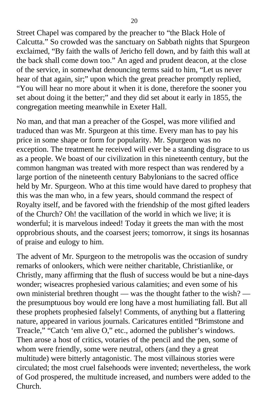Street Chapel was compared by the preacher to "the Black Hole of Calcutta." So crowded was the sanctuary on Sabbath nights that Spurgeon exclaimed, "By faith the walls of Jericho fell down, and by faith this wall at the back shall come down too." An aged and prudent deacon, at the close of the service, in somewhat denouncing terms said to him, "Let us never hear of that again, sir;" upon which the great preacher promptly replied, "You will hear no more about it when it is done, therefore the sooner you set about doing it the better;" and they did set about it early in 1855, the congregation meeting meanwhile in Exeter Hall.

No man, and that man a preacher of the Gospel, was more vilified and traduced than was Mr. Spurgeon at this time. Every man has to pay his price in some shape or form for popularity. Mr. Spurgeon was no exception. The treatment he received will ever be a standing disgrace to us as a people. We boast of our civilization in this nineteenth century, but the common hangman was treated with more respect than was rendered by a large portion of the nineteenth century Babylonians to the sacred office held by Mr. Spurgeon. Who at this time would have dared to prophesy that this was the man who, in a few years, should command the respect of Royalty itself, and be favored with the friendship of the most gifted leaders of the Church? Oh! the vacillation of the world in which we live; it is wonderful; it is marvelous indeed! Today it greets the man with the most opprobrious shouts, and the coarsest jeers; tomorrow, it sings its hosannas of praise and eulogy to him.

The advent of Mr. Spurgeon to the metropolis was the occasion of sundry remarks of onlookers, which were neither charitable, Christianlike, or Christly, many affirming that the flush of success would be but a nine-days wonder; wiseacres prophesied various calamities; and even some of his own ministerial brethren thought — was the thought father to the wish? the presumptuous boy would ere long have a most humiliating fall. But all these prophets prophesied falsely! Comments, of anything but a flattering nature, appeared in various journals. Caricatures entitled "Brimstone and Treacle," "Catch 'em alive O," etc., adorned the publisher's windows. Then arose a host of critics, votaries of the pencil and the pen, some of whom were friendly, some were neutral, others (and they a great multitude) were bitterly antagonistic. The most villainous stories were circulated; the most cruel falsehoods were invented; nevertheless, the work of God prospered, the multitude increased, and numbers were added to the Church.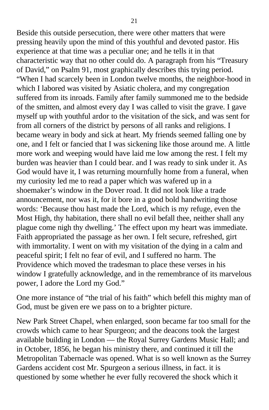Beside this outside persecution, there were other matters that were pressing heavily upon the mind of this youthful and devoted pastor. His experience at that time was a peculiar one; and he tells it in that characteristic way that no other could do. A paragraph from his "Treasury of David," on Psalm 91, most graphically describes this trying period. "When I had scarcely been in London twelve months, the neighbor-hood in which I labored was visited by Asiatic cholera, and my congregation suffered from its inroads. Family after family summoned me to the bedside of the smitten, and almost every day I was called to visit the grave. I gave myself up with youthful ardor to the visitation of the sick, and was sent for from all corners of the district by persons of all ranks and religions. I became weary in body and sick at heart. My friends seemed falling one by one, and I felt or fancied that I was sickening like those around me. A little more work and weeping would have laid me low among the rest. I felt my burden was heavier than I could bear. and I was ready to sink under it. As God would have it, I was returning mournfully home from a funeral, when my curiosity led me to read a paper which was wafered up in a shoemaker's window in the Dover road. It did not look like a trade announcement, nor was it, for it bore in a good bold handwriting those words: 'Because thou hast made the Lord, which is my refuge, even the Most High, thy habitation, there shall no evil befall thee, neither shall any plague come nigh thy dwelling.' The effect upon my heart was immediate. Faith appropriated the passage as her own. I felt secure, refreshed, girt with immortality. I went on with my visitation of the dying in a calm and peaceful spirit; I felt no fear of evil, and I suffered no harm. The Providence which moved the tradesman to place these verses in his window I gratefully acknowledge, and in the remembrance of its marvelous power, I adore the Lord my God."

One more instance of "the trial of his faith" which befell this mighty man of God, must be given ere we pass on to a brighter picture.

New Park Street Chapel, when enlarged, soon became far too small for the crowds which came to hear Spurgeon; and the deacons took the largest available building in London — the Royal Surrey Gardens Music Hall; and in October, 1856, he began his ministry there, and continued it till the Metropolitan Tabernacle was opened. What is so well known as the Surrey Gardens accident cost Mr. Spurgeon a serious illness, in fact. it is questioned by some whether he ever fully recovered the shock which it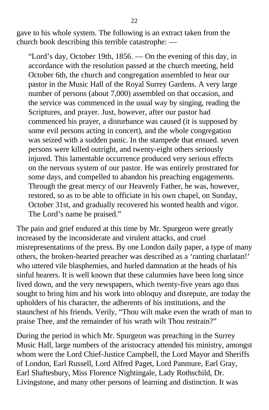gave to his whole system. The following is an extract taken from the church book describing this terrible catastrophe: —

"Lord's day, October 19th, 1856. — On the evening of this day, in accordance with the resolution passed at the church meeting, held October 6th, the church and congregation assembled to hear our pastor in the Music Hall of the Royal Surrey Gardens. A very large number of persons (about 7,000) assembled on that occasion, and the service was commenced in the usual way by singing, reading the Scriptures, and prayer. Just, however, after our pastor had commenced his prayer, a disturbance was caused (it is supposed by some evil persons acting in concert), and the whole congregation was seized with a sudden panic. In the stampede that ensued. seven persons were killed outright, and twenty-eight others seriously injured. This lamentable occurrence produced very serious effects on the nervous system of our pastor. He was entirely prostrated for some days, and compelled to abandon his preaching engagements. Through the great mercy of our Heavenly Father, he was, however, restored, so as to be able to officiate in his own chapel, on Sunday, October 31st, and gradually recovered his wonted health and vigor. The Lord's name be praised."

The pain and grief endured at this time by Mr. Spurgeon were greatly increased by the inconsiderate and virulent attacks, and cruel misrepresentations of the press. By one London daily paper, a type of many others, the broken-hearted preacher was described as a 'ranting charlatan!' who uttered vile blasphemies, and hurled damnation at the heads of his sinful hearers. It is well known that these calumnies have been long since lived down, and the very newspapers, which twenty-five years ago thus sought to bring him and his work into obloquy and disrepute, are today the upholders of his character, the adherents of his institutions, and the staunchest of his friends. Verily, "Thou wilt make even the wrath of man to praise Thee, and the remainder of his wrath wilt Thou restrain?"

During the period in which Mr. Spurgeon was preaching in the Surrey Music Hall, large numbers of the aristocracy attended his ministry, amongst whom were the Lord Chief-Justice Campbell, the Lord Mayor and Sheriffs of London, Earl Russell, Lord Alfred Paget, Lord Panmure, Earl Gray, Earl Shaftesbury, Miss Florence Nightingale, Lady Rothschild, Dr. Livingstone, and many other persons of learning and distinction. It was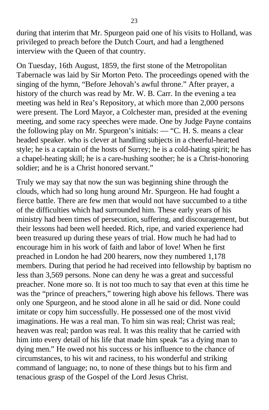during that interim that Mr. Spurgeon paid one of his visits to Holland, was privileged to preach before the Dutch Court, and had a lengthened interview with the Queen of that country.

On Tuesday, 16th August, 1859, the first stone of the Metropolitan Tabernacle was laid by Sir Morton Peto. The proceedings opened with the singing of the hymn, "Before Jehovah's awful throne." After prayer, a history of the church was read by Mr. W. B. Carr. In the evening a tea meeting was held in Rea's Repository, at which more than 2,000 persons were present. The Lord Mayor, a Colchester man, presided at the evening meeting, and some racy speeches were made. One by Judge Payne contains the following play on Mr. Spurgeon's initials: — "C. H. S. means a clear headed speaker. who is clever at handling subjects in a cheerful-hearted style; he is a captain of the hosts of Surrey; he is a cold-hating spirit; he has a chapel-heating skill; he is a care-hushing soother; he is a Christ-honoring soldier; and he is a Christ honored servant."

Truly we may say that now the sun was beginning shine through the clouds, which had so long hung around Mr. Spurgeon. He had fought a fierce battle. There are few men that would not have succumbed to a tithe of the difficulties which had surrounded him. These early years of his ministry had been times of persecution, suffering, and discouragement, but their lessons had been well heeded. Rich, ripe, and varied experience had been treasured up during these years of trial. How much he had had to encourage him in his work of faith and labor of love! When he first preached in London he had 200 hearers, now they numbered 1,178 members. During that period he had received into fellowship by baptism no less than 3,569 persons. None can deny he was a great and successful preacher. None more so. It is not too much to say that even at this time he was the "prince of preachers," towering high above his fellows. There was only one Spurgeon, and he stood alone in all he said or did. None could imitate or copy him successfully. He possessed one of the most vivid imaginations. He was a real man. To him sin was real; Christ was real; heaven was real; pardon was real. It was this reality that he carried with him into every detail of his life that made him speak "as a dying man to dying men." He owed not his success or his influence to the chance of circumstances, to his wit and raciness, to his wonderful and striking command of language; no, to none of these things but to his firm and tenacious grasp of the Gospel of the Lord Jesus Christ.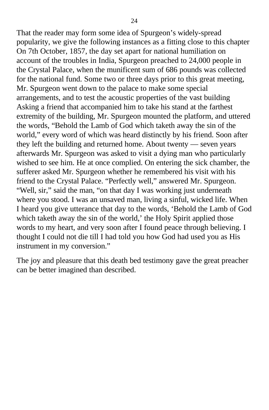That the reader may form some idea of Spurgeon's widely-spread popularity, we give the following instances as a fitting close to this chapter On 7th October, 1857, the day set apart for national humiliation on account of the troubles in India, Spurgeon preached to 24,000 people in the Crystal Palace, when the munificent sum of 686 pounds was collected for the national fund. Some two or three days prior to this great meeting, Mr. Spurgeon went down to the palace to make some special arrangements, and to test the acoustic properties of the vast building Asking a friend that accompanied him to take his stand at the farthest extremity of the building, Mr. Spurgeon mounted the platform, and uttered the words, "Behold the Lamb of God which taketh away the sin of the world," every word of which was heard distinctly by his friend. Soon after they left the building and returned home. About twenty — seven years afterwards Mr. Spurgeon was asked to visit a dying man who particularly wished to see him. He at once complied. On entering the sick chamber, the sufferer asked Mr. Spurgeon whether he remembered his visit with his friend to the Crystal Palace. "Perfectly well," answered Mr. Spurgeon. "Well, sir," said the man, "on that day I was working just underneath where you stood. I was an unsaved man, living a sinful, wicked life. When I heard you give utterance that day to the words, 'Behold the Lamb of God which taketh away the sin of the world,' the Holy Spirit applied those words to my heart, and very soon after I found peace through believing. I thought I could not die till I had told you how God had used you as His instrument in my conversion."

The joy and pleasure that this death bed testimony gave the great preacher can be better imagined than described.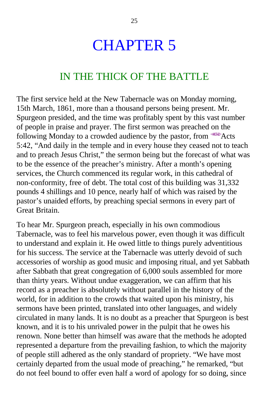## CHAPTER 5

### IN THE THICK OF THE BATTLE

The first service held at the New Tabernacle was on Monday morning, 15th March, 1861, more than a thousand persons being present. Mr. Spurgeon presided, and the time was profitably spent by this vast number of people in praise and prayer. The first sermon was preached on the following Monday to a crowded audience by the pastor, from  $4452$ Acts 5:42, "And daily in the temple and in every house they ceased not to teach and to preach Jesus Christ," the sermon being but the forecast of what was to be the essence of the preacher's ministry. After a month's opening services, the Church commenced its regular work, in this cathedral of non-conformity, free of debt. The total cost of this building was 31,332 pounds 4 shillings and 10 pence, nearly half of which was raised by the pastor's unaided efforts, by preaching special sermons in every part of Great Britain.

To hear Mr. Spurgeon preach, especially in his own commodious Tabernacle, was to feel his marvelous power, even though it was difficult to understand and explain it. He owed little to things purely adventitious for his success. The service at the Tabernacle was utterly devoid of such accessories of worship as good music and imposing ritual, and yet Sabbath after Sabbath that great congregation of 6,000 souls assembled for more than thirty years. Without undue exaggeration, we can affirm that his record as a preacher is absolutely without parallel in the history of the world, for in addition to the crowds that waited upon his ministry, his sermons have been printed, translated into other languages, and widely circulated in many lands. It is no doubt as a preacher that Spurgeon is best known, and it is to his unrivaled power in the pulpit that he owes his renown. None better than himself was aware that the methods he adopted represented a departure from the prevailing fashion, to which the majority of people still adhered as the only standard of propriety. "We have most certainly departed from the usual mode of preaching," he remarked, "but do not feel bound to offer even half a word of apology for so doing, since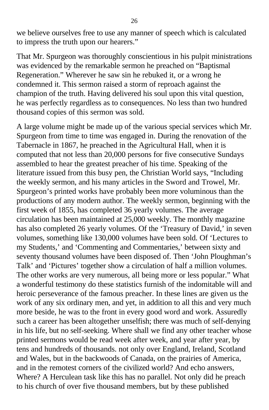we believe ourselves free to use any manner of speech which is calculated to impress the truth upon our hearers."

That Mr. Spurgeon was thoroughly conscientious in his pulpit ministrations was evidenced by the remarkable sermon he preached on "Baptismal Regeneration." Wherever he saw sin he rebuked it, or a wrong he condemned it. This sermon raised a storm of reproach against the champion of the truth. Having delivered his soul upon this vital question, he was perfectly regardless as to consequences. No less than two hundred thousand copies of this sermon was sold.

A large volume might be made up of the various special services which Mr. Spurgeon from time to time was engaged in. During the renovation of the Tabernacle in 1867, he preached in the Agricultural Hall, when it is computed that not less than 20,000 persons for five consecutive Sundays assembled to hear the greatest preacher of his time. Speaking of the literature issued from this busy pen, the Christian World says, "Including the weekly sermon, and his many articles in the Sword and Trowel, Mr. Spurgeon's printed works have probably been more voluminous than the productions of any modern author. The weekly sermon, beginning with the first week of 1855, has completed 36 yearly volumes. The average circulation has been maintained at 25,000 weekly. The monthly magazine has also completed 26 yearly volumes. Of the 'Treasury of David,' in seven volumes, something like 130,000 volumes have been sold. Of 'Lectures to my Students,' and 'Commenting and Commentaries,' between sixty and seventy thousand volumes have been disposed of. Then 'John Ploughman's Talk' and 'Pictures' together show a circulation of half a million volumes. The other works are very numerous, all being more or less popular." What a wonderful testimony do these statistics furnish of the indomitable will and heroic perseverance of the famous preacher. In these lines are given us the work of any six ordinary men, and yet, in addition to all this and very much more beside, he was to the front in every good word and work. Assuredly such a career has been altogether unselfish; there was much of self-denying in his life, but no self-seeking. Where shall we find any other teacher whose printed sermons would be read week after week, and year after year, by tens and hundreds of thousands. not only over England, Ireland, Scotland and Wales, but in the backwoods of Canada, on the prairies of America, and in the remotest corners of the civilized world? And echo answers, Where? A Herculean task like this has no parallel. Not only did he preach to his church of over five thousand members, but by these published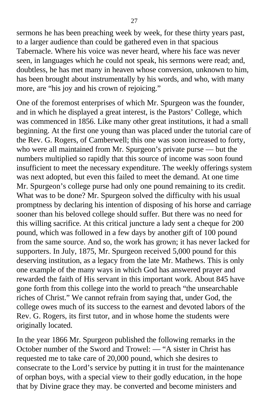sermons he has been preaching week by week, for these thirty years past, to a larger audience than could be gathered even in that spacious Tabernacle. Where his voice was never heard, where his face was never seen, in languages which he could not speak, his sermons were read; and, doubtless, he has met many in heaven whose conversion, unknown to him, has been brought about instrumentally by his words, and who, with many more, are "his joy and his crown of rejoicing."

One of the foremost enterprises of which Mr. Spurgeon was the founder, and in which he displayed a great interest, is the Pastors' College, which was commenced in 1856. Like many other great institutions, it had a small beginning. At the first one young than was placed under the tutorial care of the Rev. G. Rogers, of Camberwell; this one was soon increased to forty, who were all maintained from Mr. Spurgeon's private purse — but the numbers multiplied so rapidly that this source of income was soon found insufficient to meet the necessary expenditure. The weekly offerings system was next adopted, but even this failed to meet the demand. At one time Mr. Spurgeon's college purse had only one pound remaining to its credit. What was to be done? Mr. Spurgeon solved the difficulty with his usual promptness by declaring his intention of disposing of his horse and carriage sooner than his beloved college should suffer. But there was no need for this willing sacrifice. At this critical juncture a lady sent a cheque for 200 pound, which was followed in a few days by another gift of 100 pound from the same source. And so, the work has grown; it has never lacked for supporters. In July, 1875, Mr. Spurgeon received 5,000 pound for this deserving institution, as a legacy from the late Mr. Mathews. This is only one example of the many ways in which God has answered prayer and rewarded the faith of His servant in this important work. About 845 have gone forth from this college into the world to preach "the unsearchable riches of Christ." We cannot refrain from saying that, under God, the college owes much of its success to the earnest and devoted labors of the Rev. G. Rogers, its first tutor, and in whose home the students were originally located.

In the year 1866 Mr. Spurgeon published the following remarks in the October number of the Sword and Trowel: — "A sister in Christ has requested me to take care of 20,000 pound, which she desires to consecrate to the Lord's service by putting it in trust for the maintenance of orphan boys, with a special view to their godly education, in the hope that by Divine grace they may. be converted and become ministers and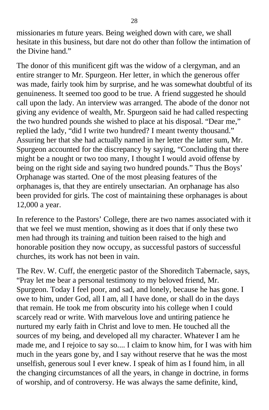missionaries m future years. Being weighed down with care, we shall hesitate in this business, but dare not do other than follow the intimation of the Divine hand."

The donor of this munificent gift was the widow of a clergyman, and an entire stranger to Mr. Spurgeon. Her letter, in which the generous offer was made, fairly took him by surprise, and he was somewhat doubtful of its genuineness. It seemed too good to be true. A friend suggested he should call upon the lady. An interview was arranged. The abode of the donor not giving any evidence of wealth, Mr. Spurgeon said he had called respecting the two hundred pounds she wished to place at his disposal. "Dear me," replied the lady, "did I write two hundred? I meant twenty thousand." Assuring her that she had actually named in her letter the latter sum, Mr. Spurgeon accounted for the discrepancy by saying, "Concluding that there might be a nought or two too many, I thought I would avoid offense by being on the right side and saying two hundred pounds." Thus the Boys' Orphanage was started. One of the most pleasing features of the orphanages is, that they are entirely unsectarian. An orphanage has also been provided for girls. The cost of maintaining these orphanages is about 12,000 a year.

In reference to the Pastors' College, there are two names associated with it that we feel we must mention, showing as it does that if only these two men had through its training and tuition been raised to the high and honorable position they now occupy, as successful pastors of successful churches, its work has not been in vain.

The Rev. W. Cuff, the energetic pastor of the Shoreditch Tabernacle, says, "Pray let me bear a personal testimony to my beloved friend, Mr. Spurgeon. Today I feel poor, and sad, and lonely, because he has gone. I owe to him, under God, all I am, all I have done, or shall do in the days that remain. He took me from obscurity into his college when I could scarcely read or write. With marvelous love and untiring patience he nurtured my early faith in Christ and love to men. He touched all the sources of my being, and developed all my character. Whatever I am he made me, and I rejoice to say so.... I claim to know him, for I was with him much in the years gone by, and I say without reserve that he was the most unselfish, generous soul I ever knew. I speak of him as I found him, in all the changing circumstances of all the years, in change in doctrine, in forms of worship, and of controversy. He was always the same definite, kind,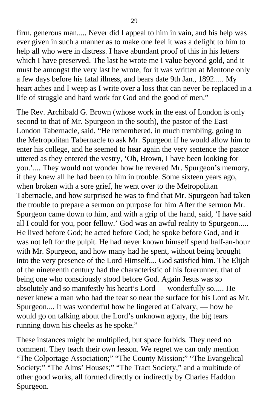firm, generous man..... Never did I appeal to him in vain, and his help was ever given in such a manner as to make one feel it was a delight to him to help all who were in distress. I have abundant proof of this in his letters which I have preserved. The last he wrote me I value beyond gold, and it must be amongst the very last he wrote, for it was written at Mentone only a few days before his fatal illness, and bears date 9th Jan., 1892..... My heart aches and I weep as I write over a loss that can never be replaced in a life of struggle and hard work for God and the good of men."

The Rev. Archibald G. Brown (whose work in the east of London is only second to that of Mr. Spurgeon in the south), the pastor of the East London Tabernacle, said, "He remembered, in much trembling, going to the Metropolitan Tabernacle to ask Mr. Spurgeon if he would allow him to enter his college, and he seemed to hear again the very sentence the pastor uttered as they entered the vestry, 'Oh, Brown, I have been looking for you.'.... They would not wonder how he revered Mr. Spurgeon's memory, if they knew all he had been to him in trouble. Some sixteen years ago, when broken with a sore grief, he went over to the Metropolitan Tabernacle, and how surprised he was to find that Mr. Spurgeon had taken the trouble to prepare a sermon on purpose for him After the sermon Mr. Spurgeon came down to him, and with a grip of the hand, said, 'I have said all I could for you, poor fellow.' God was an awful reality to Spurgeon..... He lived before God; he acted before God; he spoke before God, and it was not left for the pulpit. He had never known himself spend half-an-hour with Mr. Spurgeon, and how many had he spent, without being brought into the very presence of the Lord Himself.... God satisfied him. The Elijah of the nineteenth century had the characteristic of his forerunner, that of being one who consciously stood before God. Again Jesus was so absolutely and so manifestly his heart's Lord — wonderfully so..... He never knew a man who had the tear so near the surface for his Lord as Mr. Spurgeon.... It was wonderful how he lingered at Calvary, — how he would go on talking about the Lord's unknown agony, the big tears running down his cheeks as he spoke."

These instances might be multiplied, but space forbids. They need no comment. They teach their own lesson. We regret we can only mention "The Colportage Association;" "The County Mission;" "The Evangelical Society;" "The Alms' Houses;" "The Tract Society," and a multitude of other good works, all formed directly or indirectly by Charles Haddon Spurgeon.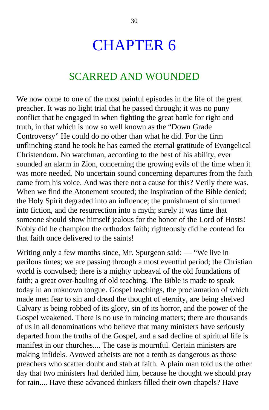## CHAPTER 6

#### SCARRED AND WOUNDED

We now come to one of the most painful episodes in the life of the great preacher. It was no light trial that he passed through; it was no puny conflict that he engaged in when fighting the great battle for right and truth, in that which is now so well known as the "Down Grade Controversy" He could do no other than what he did. For the firm unflinching stand he took he has earned the eternal gratitude of Evangelical Christendom. No watchman, according to the best of his ability, ever sounded an alarm in Zion, concerning the growing evils of the time when it was more needed. No uncertain sound concerning departures from the faith came from his voice. And was there not a cause for this? Verily there was. When we find the Atonement scouted; the Inspiration of the Bible denied; the Holy Spirit degraded into an influence; the punishment of sin turned into fiction, and the resurrection into a myth; surely it was time that someone should show himself jealous for the honor of the Lord of Hosts! Nobly did he champion the orthodox faith; righteously did he contend for that faith once delivered to the saints!

Writing only a few months since, Mr. Spurgeon said: — "We live in perilous times; we are passing through a most eventful period; the Christian world is convulsed; there is a mighty upheaval of the old foundations of faith; a great over-hauling of old teaching. The Bible is made to speak today in an unknown tongue. Gospel teachings, the proclamation of which made men fear to sin and dread the thought of eternity, are being shelved Calvary is being robbed of its glory, sin of its horror, and the power of the Gospel weakened. There is no use in mincing matters; there are thousands of us in all denominations who believe that many ministers have seriously departed from the truths of the Gospel, and a sad decline of spiritual life is manifest in our churches.... The case is mournful. Certain ministers are making infidels. Avowed atheists are not a tenth as dangerous as those preachers who scatter doubt and stab at faith. A plain man told us the other day that two ministers had derided him, because he thought we should pray for rain.... Have these advanced thinkers filled their own chapels? Have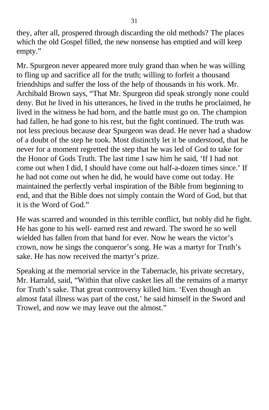they, after all, prospered through discarding the old methods? The places which the old Gospel filled, the new nonsense has emptied and will keep empty."

Mr. Spurgeon never appeared more truly grand than when he was willing to fling up and sacrifice all for the truth; willing to forfeit a thousand friendships and suffer the loss of the help of thousands in his work. Mr. Archibald Brown says, "That Mr. Spurgeon did speak strongly none could deny. But he lived in his utterances, he lived in the truths he proclaimed, he lived in the witness he had born, and the battle must go on. The champion had fallen, he had gone to his rest, but the fight continued. The truth was not less precious because dear Spurgeon was dead. He never had a shadow of a doubt of the step he took. Most distinctly let it be understood, that he never for a moment regretted the step that he was led of God to take for the Honor of Gods Truth. The last time I saw him he said, 'If I had not come out when I did, I should have come out half-a-dozen times since.' If he had not come out when he did, he would have come out today. He maintained the perfectly verbal inspiration of the Bible from beginning to end, and that the Bible does not simply contain the Word of God, but that it is the Word of God."

He was scarred and wounded in this terrible conflict, but nobly did he fight. He has gone to his well- earned rest and reward. The sword he so well wielded has fallen from that hand for ever. Now he wears the victor's crown, now he sings the conqueror's song. He was a martyr for Truth's sake. He has now received the martyr's prize.

Speaking at the memorial service in the Tabernacle, his private secretary, Mr. Harrald, said, "Within that olive casket lies all the remains of a martyr for Truth's sake. That great controversy killed him. 'Even though an almost fatal illness was part of the cost,' he said himself in the Sword and Trowel, and now we may leave out the almost."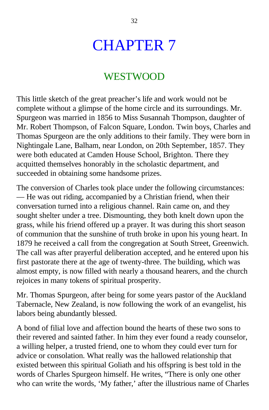## CHAPTER 7

#### WESTWOOD

This little sketch of the great preacher's life and work would not be complete without a glimpse of the home circle and its surroundings. Mr. Spurgeon was married in 1856 to Miss Susannah Thompson, daughter of Mr. Robert Thompson, of Falcon Square, London. Twin boys, Charles and Thomas Spurgeon are the only additions to their family. They were born in Nightingale Lane, Balham, near London, on 20th September, 1857. They were both educated at Camden House School, Brighton. There they acquitted themselves honorably in the scholastic department, and succeeded in obtaining some handsome prizes.

The conversion of Charles took place under the following circumstances: — He was out riding, accompanied by a Christian friend, when their conversation turned into a religious channel. Rain came on, and they sought shelter under a tree. Dismounting, they both knelt down upon the grass, while his friend offered up a prayer. It was during this short season of communion that the sunshine of truth broke in upon his young heart. In 1879 he received a call from the congregation at South Street, Greenwich. The call was after prayerful deliberation accepted, and he entered upon his first pastorate there at the age of twenty-three. The building, which was almost empty, is now filled with nearly a thousand hearers, and the church rejoices in many tokens of spiritual prosperity.

Mr. Thomas Spurgeon, after being for some years pastor of the Auckland Tabernacle, New Zealand, is now following the work of an evangelist, his labors being abundantly blessed.

A bond of filial love and affection bound the hearts of these two sons to their revered and sainted father. In him they ever found a ready counselor, a willing helper, a trusted friend, one to whom they could ever turn for advice or consolation. What really was the hallowed relationship that existed between this spiritual Goliath and his offspring is best told in the words of Charles Spurgeon himself. He writes, "There is only one other who can write the words, 'My father,' after the illustrious name of Charles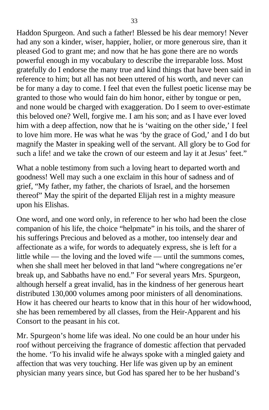Haddon Spurgeon. And such a father! Blessed be his dear memory! Never had any son a kinder, wiser, happier, holier, or more generous sire, than it pleased God to grant me; and now that he has gone there are no words powerful enough in my vocabulary to describe the irreparable loss. Most gratefully do I endorse the many true and kind things that have been said in reference to him; but all has not been uttered of his worth, and never can be for many a day to come. I feel that even the fullest poetic license may be granted to those who would fain do him honor, either by tongue or pen, and none would be charged with exaggeration. Do I seem to over-estimate this beloved one? Well, forgive me. I am his son; and as I have ever loved him with a deep affection, now that he is 'waiting on the other side,' I feel to love him more. He was what he was 'by the grace of God,' and I do but magnify the Master in speaking well of the servant. All glory be to God for such a life! and we take the crown of our esteem and lay it at Jesus' feet."

What a noble testimony from such a loving heart to departed worth and goodness! Well may such a one exclaim in this hour of sadness and of grief, "My father, my father, the chariots of Israel, and the horsemen thereof" May the spirit of the departed Elijah rest in a mighty measure upon his Elishas.

One word, and one word only, in reference to her who had been the close companion of his life, the choice "helpmate" in his toils, and the sharer of his sufferings Precious and beloved as a mother, too intensely dear and affectionate as a wife, for words to adequately express, she is left for a little while — the loving and the loved wife — until the summons comes, when she shall meet her beloved in that land "where congregations ne'er break up, and Sabbaths have no end." For several years Mrs. Spurgeon, although herself a great invalid, has in the kindness of her generous heart distributed 130,000 volumes among poor ministers of all denominations. How it has cheered our hearts to know that in this hour of her widowhood, she has been remembered by all classes, from the Heir-Apparent and his Consort to the peasant in his cot.

Mr. Spurgeon's home life was ideal. No one could be an hour under his roof without perceiving the fragrance of domestic affection that pervaded the home. 'To his invalid wife he always spoke with a mingled gaiety and affection that was very touching. Her life was given up by an eminent physician many years since, but God has spared her to be her husband's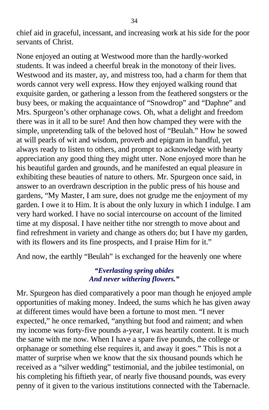chief aid in graceful, incessant, and increasing work at his side for the poor servants of Christ.

None enjoyed an outing at Westwood more than the hardly-worked students. It was indeed a cheerful break in the monotony of their lives. Westwood and its master, ay, and mistress too, had a charm for them that words cannot very well express. How they enjoyed walking round that exquisite garden, or gathering a lesson from the feathered songsters or the busy bees, or making the acquaintance of "Snowdrop" and "Daphne" and Mrs. Spurgeon's other orphanage cows. Oh, what a delight and freedom there was in it all to be sure! And then how champed they were with the simple, unpretending talk of the beloved host of "Beulah." How he sowed at will pearls of wit and wisdom, proverb and epigram in handful, yet always ready to listen to others, and prompt to acknowledge with hearty appreciation any good thing they might utter. None enjoyed more than he his beautiful garden and grounds, and he manifested an equal pleasure in exhibiting these beauties of nature to others. Mr. Spurgeon once said, in answer to an overdrawn description in the public press of his house and gardens, "My Master, I am sure, does not grudge me the enjoyment of my garden. I owe it to Him. It is about the only luxury in which I indulge. I am very hard worked. I have no social intercourse on account of the limited time at my disposal. I have neither tithe nor strength to move about and find refreshment in variety and change as others do; but I have my garden, with its flowers and its fine prospects, and I praise Him for it."

And now, the earthly "Beulah" is exchanged for the heavenly one where

#### *"Everlasting spring abides And never withering flowers."*

Mr. Spurgeon has died comparatively a poor man though he enjoyed ample opportunities of making money. Indeed, the sums which he has given away at different times would have been a fortune to most men. "I never expected," he once remarked, "anything but food and raiment; and when my income was forty-five pounds a-year, I was heartily content. It is much the same with me now. When I have a spare five pounds, the college or orphanage or something else requires it, and away it goes." This is not a matter of surprise when we know that the six thousand pounds which he received as a "silver wedding" testimonial, and the jubilee testimonial, on his completing his fiftieth year, of nearly five thousand pounds, was every penny of it given to the various institutions connected with the Tabernacle.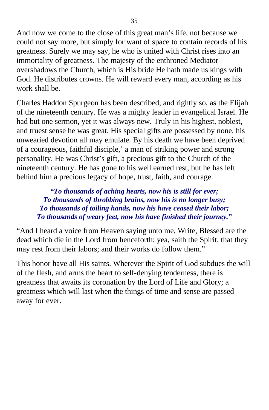And now we come to the close of this great man's life, not because we could not say more, but simply for want of space to contain records of his greatness. Surely we may say, he who is united with Christ rises into an immortality of greatness. The majesty of the enthroned Mediator overshadows the Church, which is His bride He hath made us kings with God. He distributes crowns. He will reward every man, according as his work shall be.

Charles Haddon Spurgeon has been described, and rightly so, as the Elijah of the nineteenth century. He was a mighty leader in evangelical Israel. He had but one sermon, yet it was always new. Truly in his highest, noblest, and truest sense he was great. His special gifts are possessed by none, his unwearied devotion all may emulate. By his death we have been deprived of a courageous, faithful disciple,' a man of striking power and strong personality. He was Christ's gift, a precious gift to the Church of the nineteenth century. He has gone to his well earned rest, but he has left behind him a precious legacy of hope, trust, faith, and courage.

*"To thousands of aching hearts, now his is still for ever; To thousands of throbbing brains, now his is no longer busy; To thousands of toiling hands, now his have ceased their labor; To thousands of weary feet, now his have finished their journey."*

"And I heard a voice from Heaven saying unto me, Write, Blessed are the dead which die in the Lord from henceforth: yea, saith the Spirit, that they may rest from their labors; and their works do follow them."

This honor have all His saints. Wherever the Spirit of God subdues the will of the flesh, and arms the heart to self-denying tenderness, there is greatness that awaits its coronation by the Lord of Life and Glory; a greatness which will last when the things of time and sense are passed away for ever.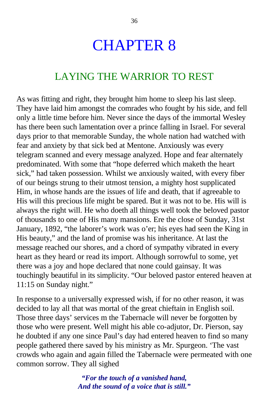## CHAPTER 8

### LAYING THE WARRIOR TO REST

As was fitting and right, they brought him home to sleep his last sleep. They have laid him amongst the comrades who fought by his side, and fell only a little time before him. Never since the days of the immortal Wesley has there been such lamentation over a prince falling in Israel. For several days prior to that memorable Sunday, the whole nation had watched with fear and anxiety by that sick bed at Mentone. Anxiously was every telegram scanned and every message analyzed. Hope and fear alternately predominated. With some that "hope deferred which maketh the heart sick," had taken possession. Whilst we anxiously waited, with every fiber of our beings strung to their utmost tension, a mighty host supplicated Him, in whose hands are the issues of life and death, that if agreeable to His will this precious life might be spared. But it was not to be. His will is always the right will. He who doeth all things well took the beloved pastor of thousands to one of His many mansions. Ere the close of Sunday, 31st January, 1892, "the laborer's work was o'er; his eyes had seen the King in His beauty," and the land of promise was his inheritance. At last the message reached our shores, and a chord of sympathy vibrated in every heart as they heard or read its import. Although sorrowful to some, yet there was a joy and hope declared that none could gainsay. It was touchingly beautiful in its simplicity. "Our beloved pastor entered heaven at 11:15 on Sunday night."

In response to a universally expressed wish, if for no other reason, it was decided to lay all that was mortal of the great chieftain in English soil. Those three days' services m the Tabernacle will never be forgotten by those who were present. Well might his able co-adjutor, Dr. Pierson, say he doubted if any one since Paul's day had entered heaven to find so many people gathered there saved by his ministry as Mr. Spurgeon. 'The vast crowds who again and again filled the Tabernacle were permeated with one common sorrow. They all sighed

> *"For the touch of a vanished hand, And the sound of a voice that is still."*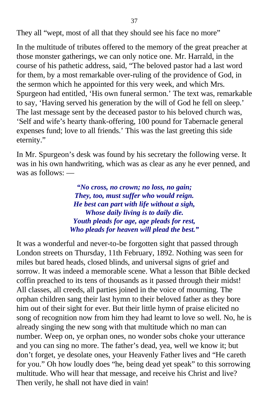They all "wept, most of all that they should see his face no more"

In the multitude of tributes offered to the memory of the great preacher at those monster gatherings, we can only notice one. Mr. Harrald, in the course of his pathetic address, said, "The beloved pastor had a last word for them, by a most remarkable over-ruling of the providence of God, in the sermon which he appointed for this very week, and which Mrs. Spurgeon had entitled, 'His own funeral sermon.' The text was, remarkable to say, 'Having served his generation by the will of God he fell on sleep.' The last message sent by the deceased pastor to his beloved church was, 'Self and wife's hearty thank-offering, 100 pound for Tabernacle general expenses fund; love to all friends.' This was the last greeting this side eternity."

In Mr. Spurgeon's desk was found by his secretary the following verse. It was in his own handwriting, which was as clear as any he ever penned, and was as follows: —

> *"No cross, no crown; no loss, no gain; They, too, must suffer who would reign. He best can part with life without a sigh, Whose daily living is to daily die. Youth pleads for age, age pleads for rest, Who pleads for heaven will plead the best."*

It was a wonderful and never-to-be forgotten sight that passed through London streets on Thursday, 11th February, 1892. Nothing was seen for miles but bared heads, closed blinds, and universal signs of grief and sorrow. It was indeed a memorable scene. What a lesson that Bible decked coffin preached to its tens of thousands as it passed through their midst! All classes, all creeds, all parties joined in the voice of mourning. The orphan children sang their last hymn to their beloved father as they bore him out of their sight for ever. But their little hymn of praise elicited no song of recognition now from him they had learnt to love so well. No, he is already singing the new song with that multitude which no man can number. Weep on, ye orphan ones, no wonder sobs choke your utterance and you can sing no more. The father's dead, yea, well we know it; but don't forget, ye desolate ones, your Heavenly Father lives and "He careth for you." Oh how loudly does "he, being dead yet speak" to this sorrowing multitude. Who will hear that message, and receive his Christ and live? Then verily, he shall not have died in vain!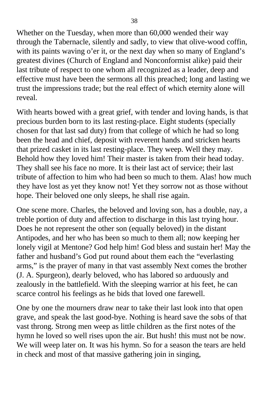Whether on the Tuesday, when more than 60,000 wended their way through the Tabernacle, silently and sadly, to view that olive-wood coffin, with its paints waving o'er it, or the next day when so many of England's greatest divines (Church of England and Nonconformist alike) paid their last tribute of respect to one whom all recognized as a leader, deep and effective must have been the sermons all this preached; long and lasting we trust the impressions trade; but the real effect of which eternity alone will reveal.

With hearts bowed with a great grief, with tender and loving hands, is that precious burden born to its last resting-place. Eight students (specially chosen for that last sad duty) from that college of which he had so long been the head and chief, deposit with reverent hands and stricken hearts that prized casket in its last resting-place. They weep. Well they may. Behold how they loved him! Their master is taken from their head today. They shall see his face no more. It is their last act of service; their last tribute of affection to him who had been so much to them. Alas! how much they have lost as yet they know not! Yet they sorrow not as those without hope. Their beloved one only sleeps, he shall rise again.

One scene more. Charles, the beloved and loving son, has a double, nay, a treble portion of duty and affection to discharge in this last trying hour. Does he not represent the other son (equally beloved) in the distant Antipodes, and her who has been so much to them all; now keeping her lonely vigil at Mentone? God help him! God bless and sustain her! May the father and husband's God put round about them each the "everlasting arms," is the prayer of many in that vast assembly Next comes the brother (J. A. Spurgeon), dearly beloved, who has labored so arduously and zealously in the battlefield. With the sleeping warrior at his feet, he can scarce control his feelings as he bids that loved one farewell.

One by one the mourners draw near to take their last look into that open grave, and speak the last good-bye. Nothing is heard save the sobs of that vast throng. Strong men weep as little children as the first notes of the hymn he loved so well rises upon the air. But hush! this must not be now. We will weep later on. It was his hymn. So for a season the tears are held in check and most of that massive gathering join in singing,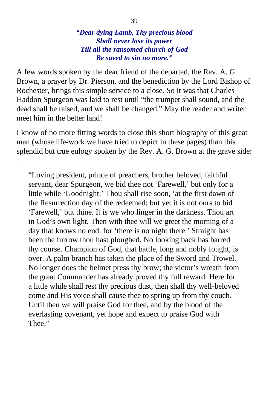#### *"Dear dying Lamb, Thy precious blood Shall never lose its power Till all the ransomed church of God Be saved to sin no more."*

A few words spoken by the dear friend of the departed, the Rev. A. G. Brown, a prayer by Dr. Pierson, and the benediction by the Lord Bishop of Rochester, brings this simple service to a close. So it was that Charles Haddon Spurgeon was laid to rest until "the trumpet shall sound, and the dead shall be raised, and we shall be changed." May the reader and writer meet him in the better land!

I know of no more fitting words to close this short biography of this great man (whose life-work we have tried to depict in these pages) than this splendid but true eulogy spoken by the Rev. A. G. Brown at the grave side:

—

"Loving president, prince of preachers, brother beloved, faithful servant, dear Spurgeon, we bid thee not 'Farewell,' but only for a little while 'Goodnight.' Thou shall rise soon, 'at the first dawn of the Resurrection day of the redeemed; but yet it is not ours to bid 'Farewell,' but thine. It is we who linger in the darkness. Thou art in God's own light. Then with thee will we greet the morning of a day that knows no end. for 'there is no night there.' Straight has been the furrow thou hast ploughed. No looking back has barred thy course. Champion of God, that battle, long and nobly fought, is over. A palm branch has taken the place of the Sword and Trowel. No longer does the helmet press thy brow; the victor's wreath from the great Commander has already proved thy full reward. Here for a little while shall rest thy precious dust, then shall thy well-beloved come and His voice shall cause thee to spring up from thy couch. Until then we will praise God for thee, and by the blood of the everlasting covenant, yet hope and expect to praise God with Thee."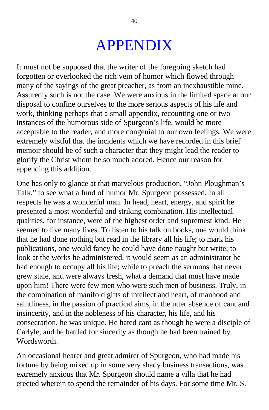## APPENDIX

It must not be supposed that the writer of the foregoing sketch had forgotten or overlooked the rich vein of humor which flowed through many of the sayings of the great preacher, as from an inexhaustible mine. Assuredly such is not the case. We were anxious in the limited space at our disposal to confine ourselves to the more serious aspects of his life and work, thinking perhaps that a small appendix, recounting one or two instances of the humorous side of Spurgeon's life, would be more acceptable to the reader, and more congenial to our own feelings. We were extremely wistful that the incidents which we have recorded in this brief memoir should be of such a character that they might lead the reader to glorify the Christ whom he so much adored. Hence our reason for appending this addition.

One has only to glance at that marvelous production, "John Ploughman's Talk," to see what a fund of humor Mr. Spurgeon possessed. In all respects he was a wonderful man. In head, heart, energy, and spirit he presented a most wonderful and striking combination. His intellectual qualities, for instance, were of the highest order and supremest kind. He seemed to live many lives. To listen to his talk on books, one would think that he had done nothing but read in the library all his life; to mark his publications, one would fancy he could have done naught but write; to look at the works he administered, it would seem as an administrator he had enough to occupy all his life; while to preach the sermons that never grew stale, and were always fresh, what a demand that must have made upon him! There were few men who were such men of business. Truly, in the combination of manifold gifts of intellect and heart, of manhood and saintliness, in the passion of practical aims, in the utter absence of cant and insincerity, and in the nobleness of his character, his life, and his consecration, he was unique. He hated cant as though he were a disciple of Carlyle, and he battled for sincerity as though he had been trained by Wordsworth.

An occasional hearer and great admirer of Spurgeon, who had made his fortune by being mixed up in some very shady business transactions, was extremely anxious that Mr. Spurgeon should name a villa that he had erected wherein to spend the remainder of his days. For some time Mr. S.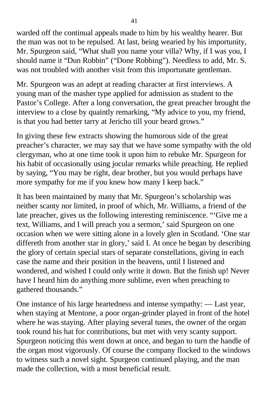warded off the continual appeals made to him by his wealthy hearer. But the man was not to be repulsed. At last, being wearied by his importunity, Mr. Spurgeon said, "What shall you name your villa? Why, if I was you, I should name it "Dun Robbin" ("Done Robbing"). Needless to add, Mr. S. was not troubled with another visit from this importunate gentleman.

Mr. Spurgeon was an adept at reading character at first interviews. A young man of the masher type applied for admission as student to the Pastor's College. After a long conversation, the great preacher brought the interview to a close by quaintly remarking, "My advice to you, my friend, is that you had better tarry at Jericho till your beard grows."

In giving these few extracts showing the humorous side of the great preacher's character, we may say that we have some sympathy with the old clergyman, who at one time took it upon him to rebuke Mr. Spurgeon for his habit of occasionally using jocular remarks while preaching. He replied by saying, "You may be right, dear brother, but you would perhaps have more sympathy for me if you knew how many I keep back."

It has been maintained by many that Mr. Spurgeon's scholarship was neither scanty nor limited, in proof of which, Mr. Williams, a friend of the late preacher, gives us the following interesting reminiscence. "'Give me a text, Williams, and I will preach you a sermon,' said Spurgeon on one occasion when we were sitting alone in a lovely glen in Scotland. 'One star differeth from another star in glory,' said I. At once he began by describing the glory of certain special stars of separate constellations, giving in each case the name and their position in the heavens, until I listened and wondered, and wished I could only write it down. But the finish up! Never have I heard him do anything more sublime, even when preaching to gathered thousands."

One instance of his large heartedness and intense sympathy: — Last year, when staying at Mentone, a poor organ-grinder played in front of the hotel where he was staying. After playing several tunes, the owner of the organ took round his hat for contributions, but met with very scanty support. Spurgeon noticing this went down at once, and began to turn the handle of the organ most vigorously. Of course the company flocked to the windows to witness such a novel sight. Spurgeon continued playing, and the man made the collection, with a most beneficial result.